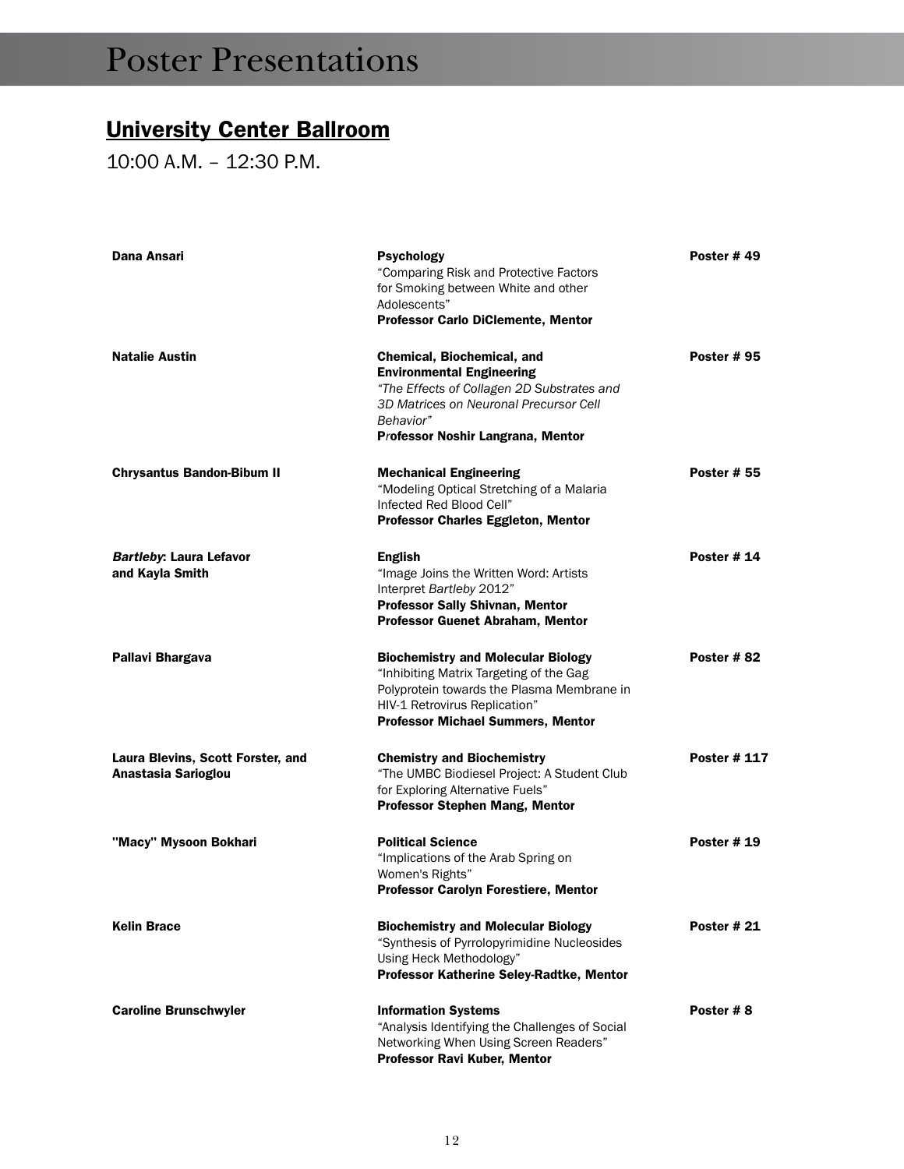#### University Center Ballroom

10:00 a.m. – 12:30 p.m.

| Dana Ansari                                              | Psychology<br>"Comparing Risk and Protective Factors<br>for Smoking between White and other<br>Adolescents"<br><b>Professor Carlo DiClemente, Mentor</b>                                                        | Poster #49         |
|----------------------------------------------------------|-----------------------------------------------------------------------------------------------------------------------------------------------------------------------------------------------------------------|--------------------|
| <b>Natalie Austin</b>                                    | Chemical, Biochemical, and<br><b>Environmental Engineering</b><br>"The Effects of Collagen 2D Substrates and<br>3D Matrices on Neuronal Precursor Cell<br>Behavior"<br>Professor Noshir Langrana, Mentor        | <b>Poster # 95</b> |
| <b>Chrysantus Bandon-Bibum II</b>                        | <b>Mechanical Engineering</b><br>"Modeling Optical Stretching of a Malaria<br>Infected Red Blood Cell"<br><b>Professor Charles Eggleton, Mentor</b>                                                             | <b>Poster # 55</b> |
| <b>Bartleby: Laura Lefavor</b><br>and Kayla Smith        | <b>English</b><br>"Image Joins the Written Word: Artists<br>Interpret Bartleby 2012"<br>Professor Sally Shivnan, Mentor<br><b>Professor Guenet Abraham, Mentor</b>                                              | <b>Poster # 14</b> |
| Pallavi Bhargava                                         | <b>Biochemistry and Molecular Biology</b><br>"Inhibiting Matrix Targeting of the Gag<br>Polyprotein towards the Plasma Membrane in<br>HIV-1 Retrovirus Replication"<br><b>Professor Michael Summers, Mentor</b> | Poster #82         |
| Laura Blevins, Scott Forster, and<br>Anastasia Sarioglou | <b>Chemistry and Biochemistry</b><br>"The UMBC Biodiesel Project: A Student Club<br>for Exploring Alternative Fuels"<br>Professor Stephen Mang, Mentor                                                          | Poster # 117       |
| "Macy" Mysoon Bokhari                                    | <b>Political Science</b><br>"Implications of the Arab Spring on<br>Women's Rights"<br><b>Professor Carolyn Forestiere, Mentor</b>                                                                               | <b>Poster #19</b>  |
| <b>Kelin Brace</b>                                       | <b>Biochemistry and Molecular Biology</b><br>"Synthesis of Pyrrolopyrimidine Nucleosides<br>Using Heck Methodology"<br>Professor Katherine Seley-Radtke, Mentor                                                 | <b>Poster #21</b>  |
| <b>Caroline Brunschwyler</b>                             | <b>Information Systems</b><br>"Analysis Identifying the Challenges of Social<br>Networking When Using Screen Readers"<br>Professor Ravi Kuber, Mentor                                                           | Poster #8          |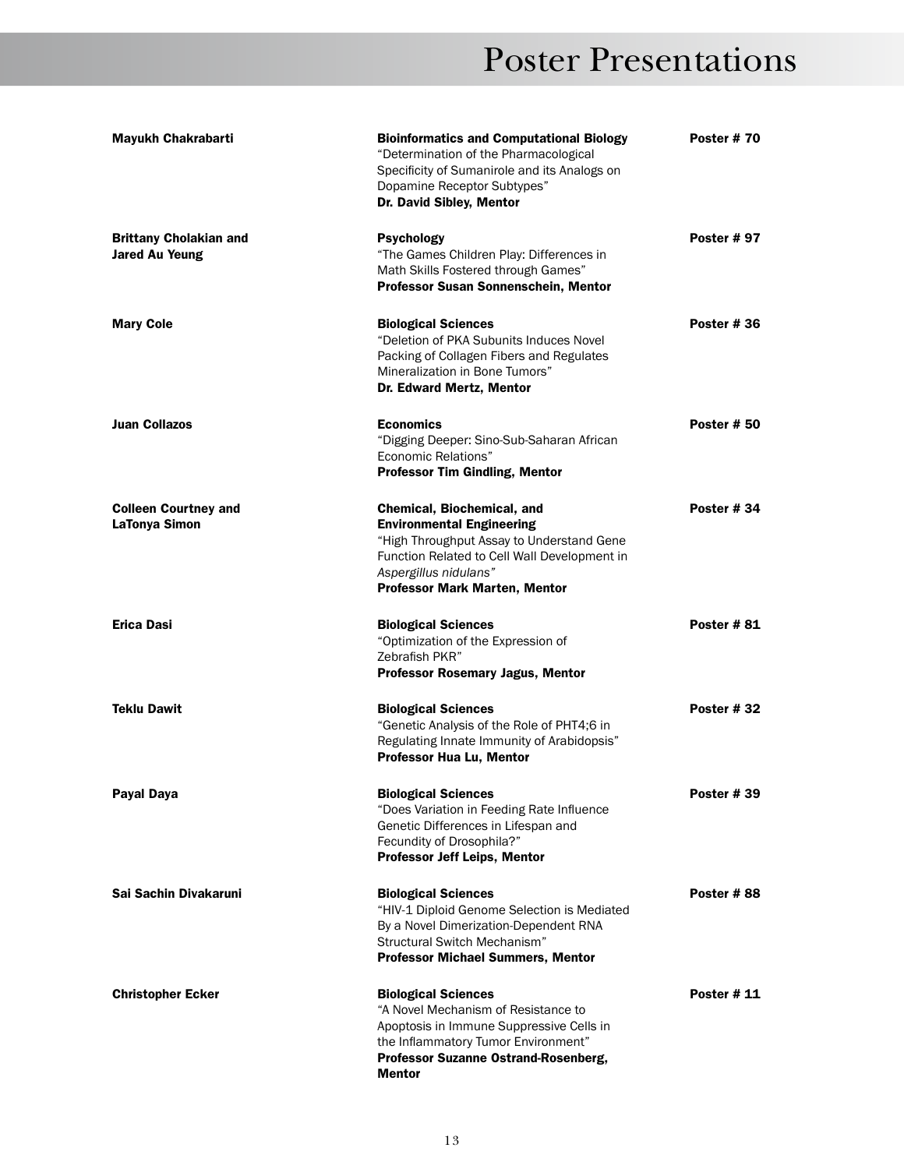| <b>Mayukh Chakrabarti</b>                              | <b>Bioinformatics and Computational Biology</b><br>"Determination of the Pharmacological<br>Specificity of Sumanirole and its Analogs on<br>Dopamine Receptor Subtypes"<br>Dr. David Sibley, Mentor                   | <b>Poster #70</b>  |
|--------------------------------------------------------|-----------------------------------------------------------------------------------------------------------------------------------------------------------------------------------------------------------------------|--------------------|
| <b>Brittany Cholakian and</b><br><b>Jared Au Yeung</b> | <b>Psychology</b><br>"The Games Children Play: Differences in<br>Math Skills Fostered through Games"<br>Professor Susan Sonnenschein, Mentor                                                                          | <b>Poster #97</b>  |
| <b>Mary Cole</b>                                       | <b>Biological Sciences</b><br>"Deletion of PKA Subunits Induces Novel<br>Packing of Collagen Fibers and Regulates<br>Mineralization in Bone Tumors"<br>Dr. Edward Mertz, Mentor                                       | Poster #36         |
| <b>Juan Collazos</b>                                   | <b>Economics</b><br>"Digging Deeper: Sino-Sub-Saharan African<br><b>Economic Relations"</b><br><b>Professor Tim Gindling, Mentor</b>                                                                                  | <b>Poster # 50</b> |
| <b>Colleen Courtney and</b><br>LaTonya Simon           | Chemical, Biochemical, and<br><b>Environmental Engineering</b><br>"High Throughput Assay to Understand Gene<br>Function Related to Cell Wall Development in<br>Aspergillus nidulans"<br>Professor Mark Marten, Mentor | Poster #34         |
| Erica Dasi                                             | <b>Biological Sciences</b><br>"Optimization of the Expression of<br>Zebrafish PKR"<br><b>Professor Rosemary Jagus, Mentor</b>                                                                                         | <b>Poster #81</b>  |
| <b>Teklu Dawit</b>                                     | <b>Biological Sciences</b><br>"Genetic Analysis of the Role of PHT4;6 in<br>Regulating Innate Immunity of Arabidopsis"<br>Professor Hua Lu, Mentor                                                                    | Poster #32         |
| Payal Daya                                             | <b>Biological Sciences</b><br>"Does Variation in Feeding Rate Influence<br>Genetic Differences in Lifespan and<br>Fecundity of Drosophila?"<br><b>Professor Jeff Leips, Mentor</b>                                    | <b>Poster #39</b>  |
| Sai Sachin Divakaruni                                  | <b>Biological Sciences</b><br>"HIV-1 Diploid Genome Selection is Mediated<br>By a Novel Dimerization-Dependent RNA<br>Structural Switch Mechanism"<br><b>Professor Michael Summers, Mentor</b>                        | Poster # 88        |
| <b>Christopher Ecker</b>                               | <b>Biological Sciences</b><br>"A Novel Mechanism of Resistance to<br>Apoptosis in Immune Suppressive Cells in<br>the Inflammatory Tumor Environment"<br>Professor Suzanne Ostrand-Rosenberg,<br><b>Mentor</b>         | <b>Poster #11</b>  |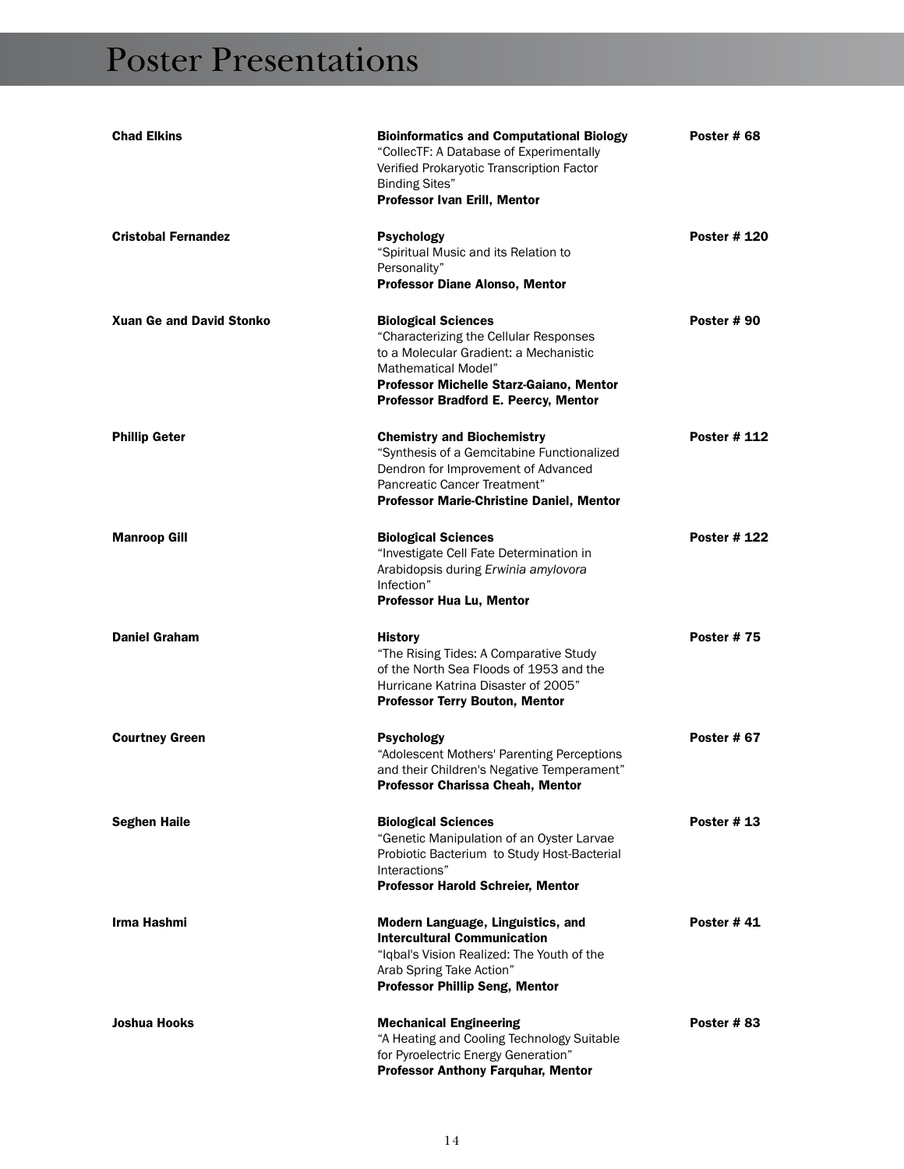| <b>Chad Elkins</b>              | <b>Bioinformatics and Computational Biology</b><br>"CollecTF: A Database of Experimentally<br>Verified Prokaryotic Transcription Factor<br><b>Binding Sites"</b><br>Professor Ivan Erill, Mentor                                | Poster #68         |
|---------------------------------|---------------------------------------------------------------------------------------------------------------------------------------------------------------------------------------------------------------------------------|--------------------|
| <b>Cristobal Fernandez</b>      | <b>Psychology</b><br>"Spiritual Music and its Relation to<br>Personality"<br>Professor Diane Alonso, Mentor                                                                                                                     | <b>Poster #120</b> |
| <b>Xuan Ge and David Stonko</b> | <b>Biological Sciences</b><br>"Characterizing the Cellular Responses<br>to a Molecular Gradient: a Mechanistic<br><b>Mathematical Model"</b><br>Professor Michelle Starz-Gaiano, Mentor<br>Professor Bradford E. Peercy, Mentor | Poster #90         |
| <b>Phillip Geter</b>            | <b>Chemistry and Biochemistry</b><br>"Synthesis of a Gemcitabine Functionalized<br>Dendron for Improvement of Advanced<br>Pancreatic Cancer Treatment"<br><b>Professor Marie-Christine Daniel, Mentor</b>                       | Poster # 112       |
| <b>Manroop Gill</b>             | <b>Biological Sciences</b><br>"Investigate Cell Fate Determination in<br>Arabidopsis during Erwinia amylovora<br>Infection"<br><b>Professor Hua Lu, Mentor</b>                                                                  | <b>Poster #122</b> |
| <b>Daniel Graham</b>            | <b>History</b><br>"The Rising Tides: A Comparative Study<br>of the North Sea Floods of 1953 and the<br>Hurricane Katrina Disaster of 2005"<br><b>Professor Terry Bouton, Mentor</b>                                             | <b>Poster #75</b>  |
| <b>Courtney Green</b>           | <b>Psychology</b><br>"Adolescent Mothers' Parenting Perceptions<br>and their Children's Negative Temperament"<br>Professor Charissa Cheah, Mentor                                                                               | <b>Poster # 67</b> |
| <b>Seghen Haile</b>             | <b>Biological Sciences</b><br>"Genetic Manipulation of an Oyster Larvae<br>Probiotic Bacterium to Study Host-Bacterial<br>Interactions"<br><b>Professor Harold Schreier, Mentor</b>                                             | Poster $# 13$      |
| Irma Hashmi                     | Modern Language, Linguistics, and<br><b>Intercultural Communication</b><br>"Igbal's Vision Realized: The Youth of the<br>Arab Spring Take Action"<br><b>Professor Phillip Seng, Mentor</b>                                      | <b>Poster #41</b>  |
| <b>Joshua Hooks</b>             | <b>Mechanical Engineering</b><br>"A Heating and Cooling Technology Suitable<br>for Pyroelectric Energy Generation"<br><b>Professor Anthony Farquhar, Mentor</b>                                                                 | Poster #83         |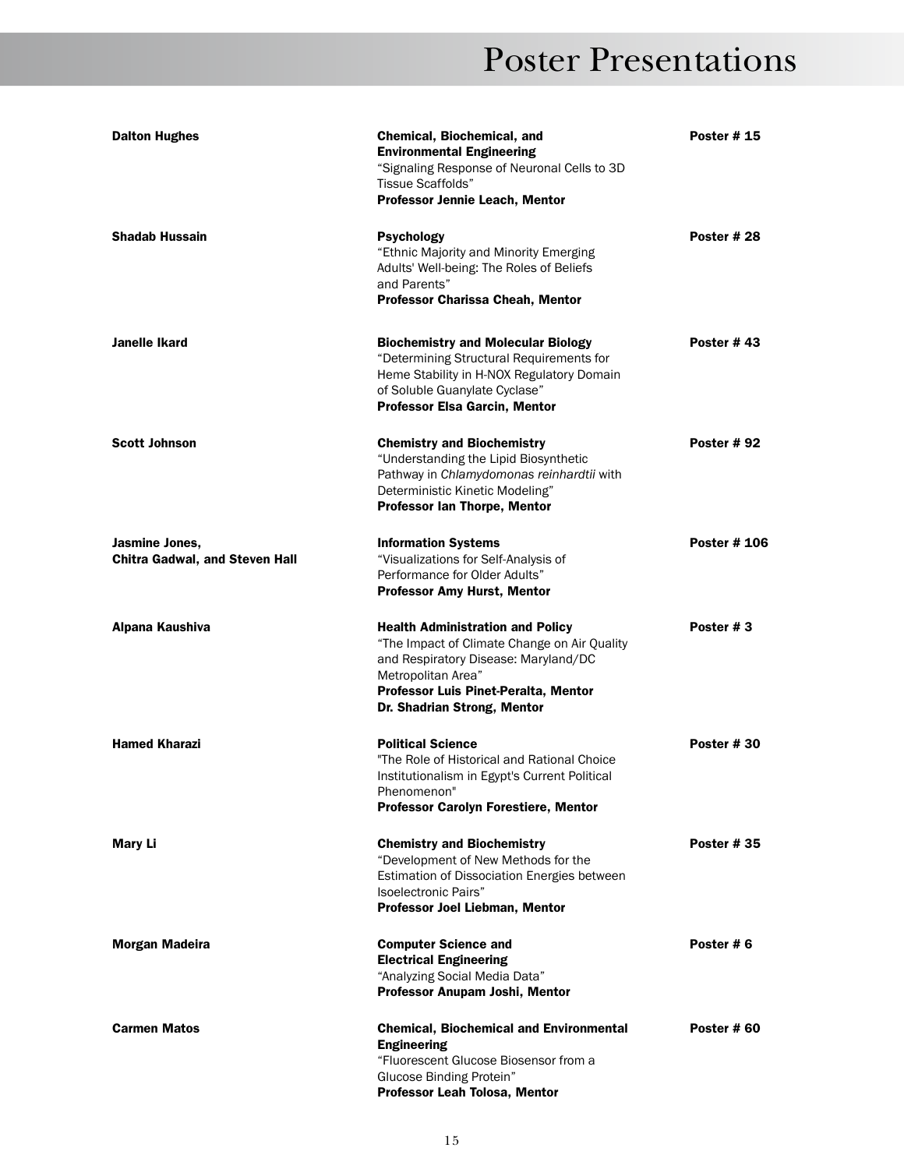| <b>Dalton Hughes</b>                                    | <b>Chemical, Biochemical, and</b><br><b>Environmental Engineering</b><br>"Signaling Response of Neuronal Cells to 3D<br>Tissue Scaffolds"                                                                                    | <b>Poster #15</b>   |
|---------------------------------------------------------|------------------------------------------------------------------------------------------------------------------------------------------------------------------------------------------------------------------------------|---------------------|
|                                                         | Professor Jennie Leach, Mentor                                                                                                                                                                                               |                     |
| <b>Shadab Hussain</b>                                   | <b>Psychology</b><br>"Ethnic Majority and Minority Emerging<br>Adults' Well-being: The Roles of Beliefs<br>and Parents"<br><b>Professor Charissa Cheah, Mentor</b>                                                           | Poster #28          |
| Janelle Ikard                                           | <b>Biochemistry and Molecular Biology</b><br>"Determining Structural Requirements for<br>Heme Stability in H-NOX Regulatory Domain<br>of Soluble Guanylate Cyclase"<br><b>Professor Elsa Garcin, Mentor</b>                  | Poster #43          |
| <b>Scott Johnson</b>                                    | <b>Chemistry and Biochemistry</b><br>"Understanding the Lipid Biosynthetic<br>Pathway in Chlamydomonas reinhardtii with<br>Deterministic Kinetic Modeling"<br>Professor Ian Thorpe, Mentor                                   | <b>Poster # 92</b>  |
| Jasmine Jones,<br><b>Chitra Gadwal, and Steven Hall</b> | <b>Information Systems</b><br>"Visualizations for Self-Analysis of<br>Performance for Older Adults"<br><b>Professor Amy Hurst, Mentor</b>                                                                                    | <b>Poster # 106</b> |
| Alpana Kaushiva                                         | <b>Health Administration and Policy</b><br>"The Impact of Climate Change on Air Quality<br>and Respiratory Disease: Maryland/DC<br>Metropolitan Area"<br>Professor Luis Pinet-Peralta, Mentor<br>Dr. Shadrian Strong, Mentor | Poster #3           |
| <b>Hamed Kharazi</b>                                    | <b>Political Science</b><br>"The Role of Historical and Rational Choice<br>Institutionalism in Egypt's Current Political<br>Phenomenon'<br><b>Professor Carolyn Forestiere, Mentor</b>                                       | Poster #30          |
| <b>Mary Li</b>                                          | <b>Chemistry and Biochemistry</b><br>"Development of New Methods for the<br>Estimation of Dissociation Energies between<br>Isoelectronic Pairs"<br>Professor Joel Liebman, Mentor                                            | <b>Poster #35</b>   |
| <b>Morgan Madeira</b>                                   | <b>Computer Science and</b><br><b>Electrical Engineering</b><br>"Analyzing Social Media Data"<br>Professor Anupam Joshi, Mentor                                                                                              | Poster #6           |
| <b>Carmen Matos</b>                                     | <b>Chemical, Biochemical and Environmental</b><br><b>Engineering</b><br>"Fluorescent Glucose Biosensor from a<br>Glucose Binding Protein"<br>Professor Leah Tolosa, Mentor                                                   | Poster #60          |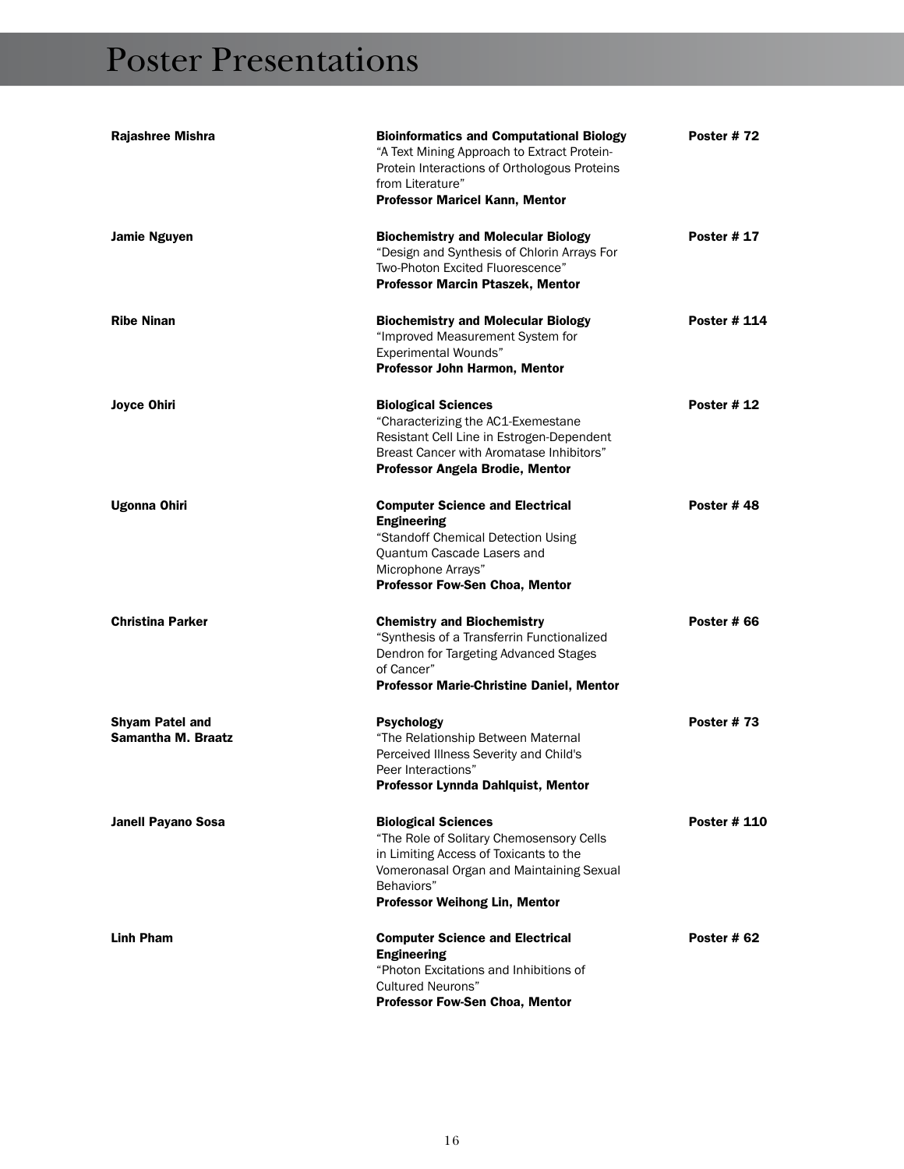| Rajashree Mishra                                    | <b>Bioinformatics and Computational Biology</b><br>"A Text Mining Approach to Extract Protein-<br>Protein Interactions of Orthologous Proteins<br>from Literature"<br>Professor Maricel Kann, Mentor               | <b>Poster #72</b>   |
|-----------------------------------------------------|--------------------------------------------------------------------------------------------------------------------------------------------------------------------------------------------------------------------|---------------------|
| <b>Jamie Nguyen</b>                                 | <b>Biochemistry and Molecular Biology</b><br>"Design and Synthesis of Chlorin Arrays For<br>Two-Photon Excited Fluorescence"<br>Professor Marcin Ptaszek, Mentor                                                   | <b>Poster # 17</b>  |
| <b>Ribe Ninan</b>                                   | <b>Biochemistry and Molecular Biology</b><br>"Improved Measurement System for<br><b>Experimental Wounds"</b><br>Professor John Harmon, Mentor                                                                      | <b>Poster # 114</b> |
| <b>Joyce Ohiri</b>                                  | <b>Biological Sciences</b><br>"Characterizing the AC1-Exemestane<br>Resistant Cell Line in Estrogen-Dependent<br>Breast Cancer with Aromatase Inhibitors"<br>Professor Angela Brodie, Mentor                       | <b>Poster # 12</b>  |
| Ugonna Ohiri                                        | <b>Computer Science and Electrical</b><br><b>Engineering</b><br>"Standoff Chemical Detection Using<br>Quantum Cascade Lasers and<br>Microphone Arrays"<br>Professor Fow-Sen Choa, Mentor                           | Poster #48          |
| <b>Christina Parker</b>                             | <b>Chemistry and Biochemistry</b><br>"Synthesis of a Transferrin Functionalized<br>Dendron for Targeting Advanced Stages<br>of Cancer"<br><b>Professor Marie-Christine Daniel, Mentor</b>                          | Poster # 66         |
| <b>Shyam Patel and</b><br><b>Samantha M. Braatz</b> | <b>Psychology</b><br>"The Relationship Between Maternal<br>Perceived Illness Severity and Child's<br>Peer Interactions"<br>Professor Lynnda Dahlquist, Mentor                                                      | <b>Poster #73</b>   |
| <b>Janell Payano Sosa</b>                           | <b>Biological Sciences</b><br>"The Role of Solitary Chemosensory Cells<br>in Limiting Access of Toxicants to the<br>Vomeronasal Organ and Maintaining Sexual<br>Behaviors"<br><b>Professor Weihong Lin, Mentor</b> | Poster # 110        |
| <b>Linh Pham</b>                                    | <b>Computer Science and Electrical</b><br><b>Engineering</b><br>"Photon Excitations and Inhibitions of<br><b>Cultured Neurons"</b><br><b>Professor Fow-Sen Choa, Mentor</b>                                        | Poster #62          |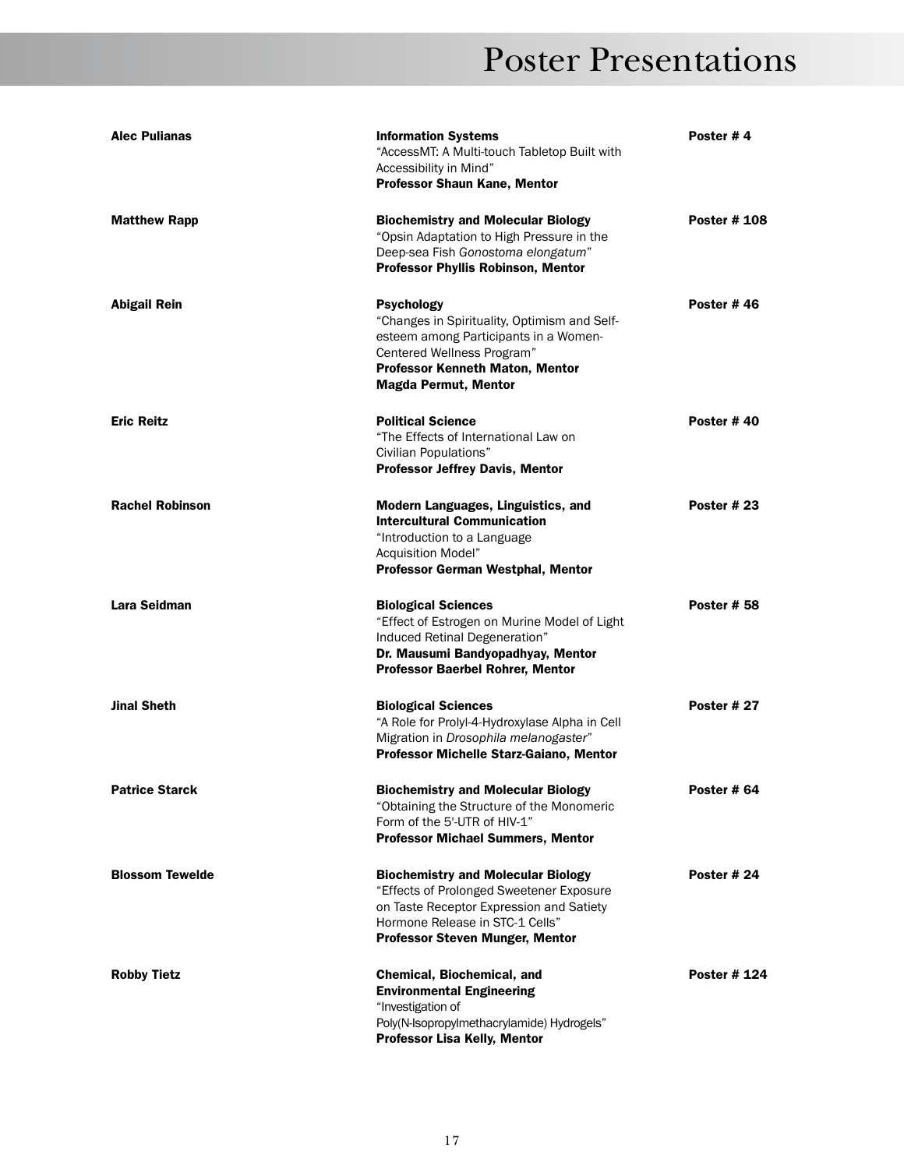| <b>Alec Pulianas</b>   | <b>Information Systems</b><br>"AccessMT: A Multi-touch Tabletop Built with<br>Accessibility in Mind"<br><b>Professor Shaun Kane, Mentor</b>                                                                | Poster #4           |
|------------------------|------------------------------------------------------------------------------------------------------------------------------------------------------------------------------------------------------------|---------------------|
| <b>Matthew Rapp</b>    | <b>Biochemistry and Molecular Biology</b><br>"Opsin Adaptation to High Pressure in the<br>Deep-sea Fish Gonostoma elongatum"<br>Professor Phyllis Robinson, Mentor                                         | <b>Poster # 108</b> |
| <b>Abigail Rein</b>    | Psychology<br>"Changes in Spirituality, Optimism and Self-<br>esteem among Participants in a Women-<br>Centered Wellness Program"<br><b>Professor Kenneth Maton, Mentor</b><br><b>Magda Permut, Mentor</b> | Poster #46          |
| <b>Eric Reitz</b>      | <b>Political Science</b><br>"The Effects of International Law on<br>Civilian Populations"<br>Professor Jeffrey Davis, Mentor                                                                               | Poster #40          |
| <b>Rachel Robinson</b> | Modern Languages, Linguistics, and<br><b>Intercultural Communication</b><br>"Introduction to a Language<br>Acquisition Model"<br><b>Professor German Westphal, Mentor</b>                                  | <b>Poster # 23</b>  |
| Lara Seidman           | <b>Biological Sciences</b><br>"Effect of Estrogen on Murine Model of Light<br>Induced Retinal Degeneration"<br>Dr. Mausumi Bandyopadhyay, Mentor<br><b>Professor Baerbel Rohrer, Mentor</b>                | <b>Poster # 58</b>  |
| <b>Jinal Sheth</b>     | <b>Biological Sciences</b><br>"A Role for Prolyl-4-Hydroxylase Alpha in Cell<br>Migration in Drosophila melanogaster"<br>Professor Michelle Starz-Gaiano, Mentor                                           | Poster #27          |
| <b>Patrice Starck</b>  | <b>Biochemistry and Molecular Biology</b><br>"Obtaining the Structure of the Monomeric<br>Form of the 5'-UTR of HIV-1"<br><b>Professor Michael Summers, Mentor</b>                                         | Poster # 64         |
| <b>Blossom Tewelde</b> | <b>Biochemistry and Molecular Biology</b><br>"Effects of Prolonged Sweetener Exposure<br>on Taste Receptor Expression and Satiety<br>Hormone Release in STC-1 Cells"<br>Professor Steven Munger, Mentor    | Poster #24          |
| <b>Robby Tietz</b>     | Chemical, Biochemical, and<br><b>Environmental Engineering</b><br>"Investigation of<br>Poly(N-Isopropylmethacrylamide) Hydrogels"<br><b>Professor Lisa Kelly, Mentor</b>                                   | Poster #124         |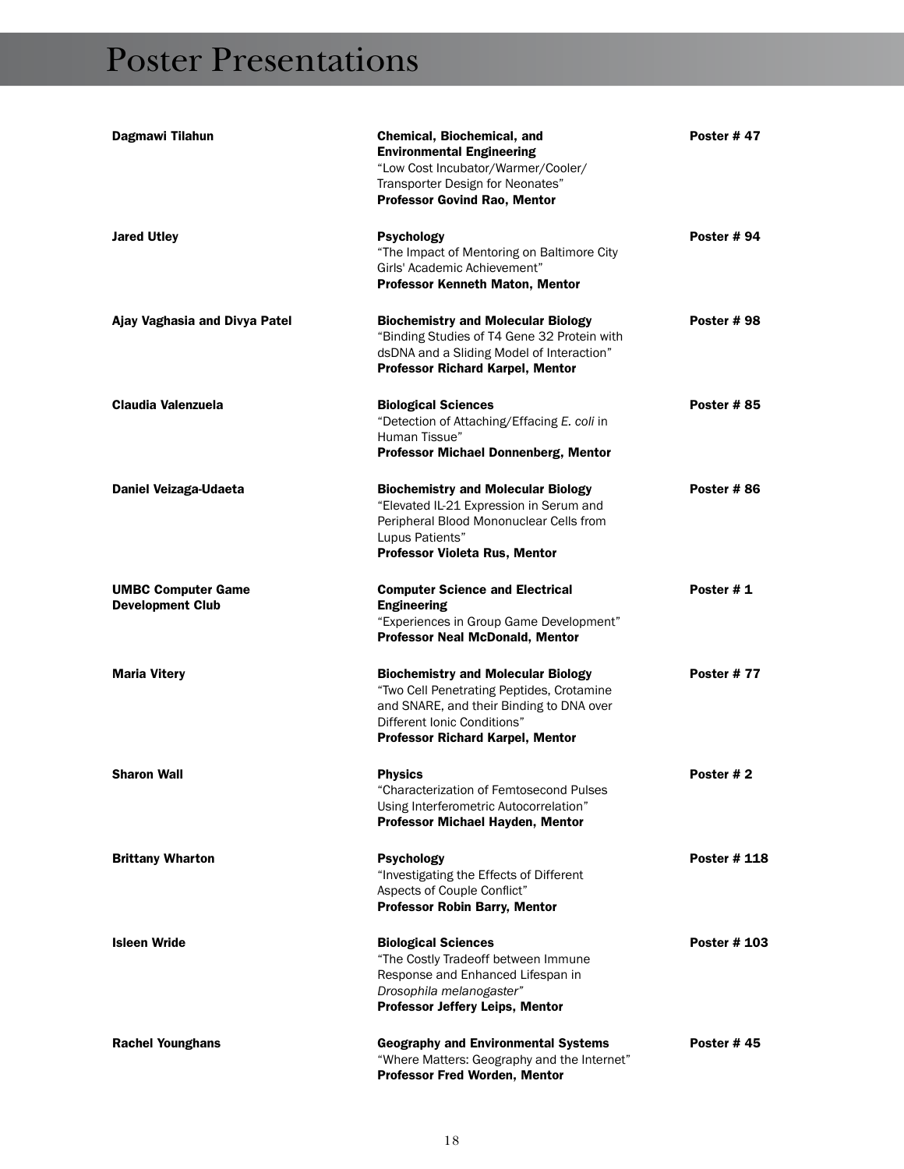| Dagmawi Tilahun                                      | <b>Chemical, Biochemical, and</b><br><b>Environmental Engineering</b><br>"Low Cost Incubator/Warmer/Cooler/<br>Transporter Design for Neonates"<br>Professor Govind Rao, Mentor                              | Poster #47         |
|------------------------------------------------------|--------------------------------------------------------------------------------------------------------------------------------------------------------------------------------------------------------------|--------------------|
| <b>Jared Utley</b>                                   | <b>Psychology</b><br>"The Impact of Mentoring on Baltimore City<br>Girls' Academic Achievement"<br><b>Professor Kenneth Maton, Mentor</b>                                                                    | Poster #94         |
| Ajay Vaghasia and Divya Patel                        | <b>Biochemistry and Molecular Biology</b><br>"Binding Studies of T4 Gene 32 Protein with<br>dsDNA and a Sliding Model of Interaction"<br><b>Professor Richard Karpel, Mentor</b>                             | Poster #98         |
| Claudia Valenzuela                                   | <b>Biological Sciences</b><br>"Detection of Attaching/Effacing E. coli in<br>Human Tissue"<br>Professor Michael Donnenberg, Mentor                                                                           | <b>Poster #85</b>  |
| Daniel Veizaga-Udaeta                                | <b>Biochemistry and Molecular Biology</b><br>"Elevated IL-21 Expression in Serum and<br>Peripheral Blood Mononuclear Cells from<br>Lupus Patients"<br>Professor Violeta Rus, Mentor                          | Poster #86         |
| <b>UMBC Computer Game</b><br><b>Development Club</b> | <b>Computer Science and Electrical</b><br><b>Engineering</b><br>"Experiences in Group Game Development"<br><b>Professor Neal McDonald, Mentor</b>                                                            | Poster #1          |
| <b>Maria Vitery</b>                                  | <b>Biochemistry and Molecular Biology</b><br>"Two Cell Penetrating Peptides, Crotamine<br>and SNARE, and their Binding to DNA over<br>Different Ionic Conditions"<br><b>Professor Richard Karpel, Mentor</b> | <b>Poster #77</b>  |
| <b>Sharon Wall</b>                                   | <b>Physics</b><br>"Characterization of Femtosecond Pulses<br>Using Interferometric Autocorrelation"<br>Professor Michael Hayden, Mentor                                                                      | Poster #2          |
| <b>Brittany Wharton</b>                              | <b>Psychology</b><br>"Investigating the Effects of Different<br>Aspects of Couple Conflict"<br><b>Professor Robin Barry, Mentor</b>                                                                          | Poster # 118       |
| <b>Isleen Wride</b>                                  | <b>Biological Sciences</b><br>"The Costly Tradeoff between Immune<br>Response and Enhanced Lifespan in<br>Drosophila melanogaster"<br>Professor Jeffery Leips, Mentor                                        | <b>Poster #103</b> |
| <b>Rachel Younghans</b>                              | <b>Geography and Environmental Systems</b><br>"Where Matters: Geography and the Internet"<br>Professor Fred Worden, Mentor                                                                                   | <b>Poster #45</b>  |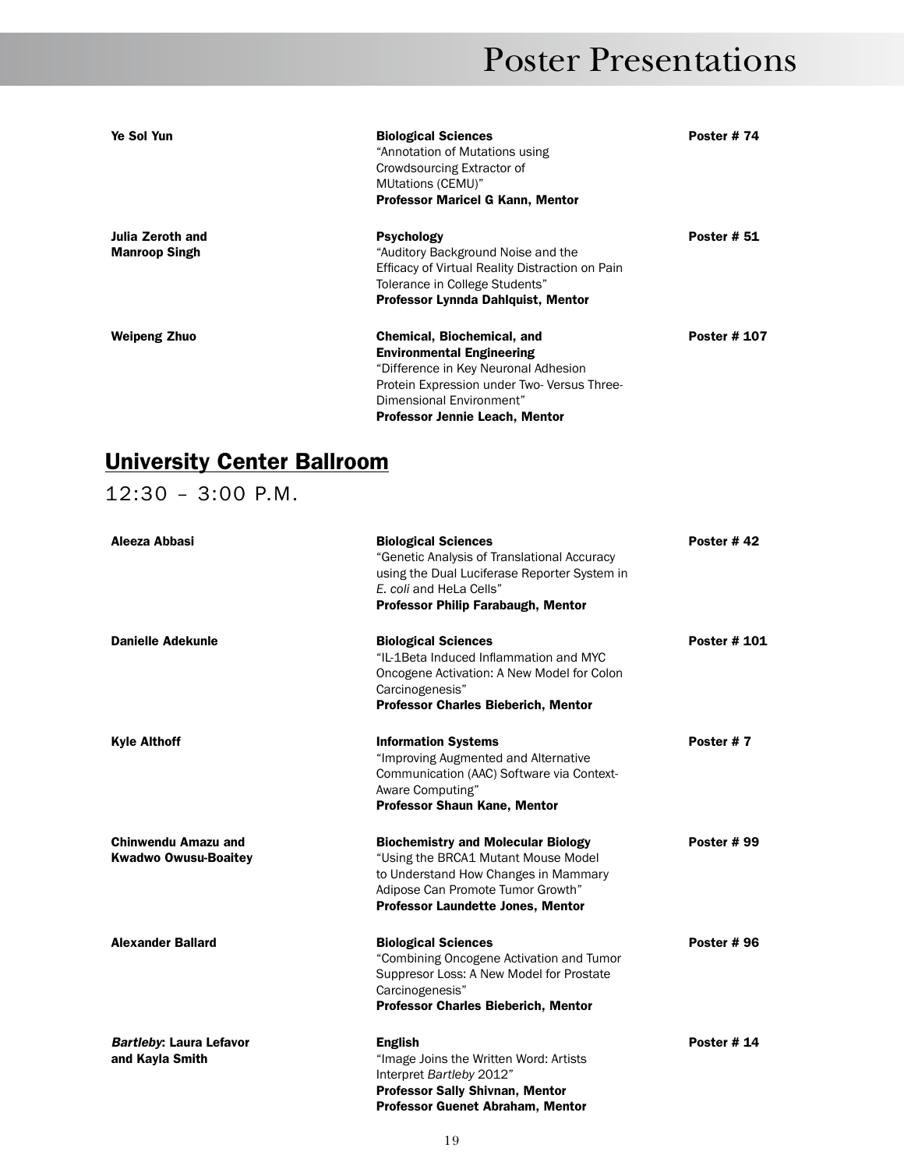| Ye Sol Yun                               | <b>Biological Sciences</b><br>"Annotation of Mutations using<br>Crowdsourcing Extractor of<br>MUtations (CEMU)"<br><b>Professor Maricel G Kann, Mentor</b>                                                                       | Poster #74          |
|------------------------------------------|----------------------------------------------------------------------------------------------------------------------------------------------------------------------------------------------------------------------------------|---------------------|
| Julia Zeroth and<br><b>Manroop Singh</b> | <b>Psychology</b><br>"Auditory Background Noise and the<br>Efficacy of Virtual Reality Distraction on Pain<br>Tolerance in College Students"<br>Professor Lynnda Dahlquist, Mentor                                               | <b>Poster # 51</b>  |
| Weipeng Zhuo                             | <b>Chemical, Biochemical, and</b><br><b>Environmental Engineering</b><br>"Difference in Key Neuronal Adhesion<br>Protein Expression under Two-Versus Three-<br>Dimensional Environment"<br><b>Professor Jennie Leach, Mentor</b> | <b>Poster # 107</b> |

#### University Center Ballroom

12:30 – 3:00 p.m.

| Aleeza Abbasi                                             | <b>Biological Sciences</b><br>"Genetic Analysis of Translational Accuracy<br>using the Dual Luciferase Reporter System in<br>E. coli and HeLa Cells"<br><b>Professor Philip Farabaugh, Mentor</b>         | Poster #42          |
|-----------------------------------------------------------|-----------------------------------------------------------------------------------------------------------------------------------------------------------------------------------------------------------|---------------------|
| <b>Danielle Adekunle</b>                                  | <b>Biological Sciences</b><br>"IL-1Beta Induced Inflammation and MYC<br>Oncogene Activation: A New Model for Colon<br>Carcinogenesis"<br><b>Professor Charles Bieberich, Mentor</b>                       | <b>Poster # 101</b> |
| <b>Kyle Althoff</b>                                       | <b>Information Systems</b><br>"Improving Augmented and Alternative<br>Communication (AAC) Software via Context-<br>Aware Computing"<br>Professor Shaun Kane, Mentor                                       | Poster #7           |
| <b>Chinwendu Amazu and</b><br><b>Kwadwo Owusu-Boaitey</b> | <b>Biochemistry and Molecular Biology</b><br>"Using the BRCA1 Mutant Mouse Model<br>to Understand How Changes in Mammary<br>Adipose Can Promote Tumor Growth"<br><b>Professor Laundette Jones, Mentor</b> | <b>Poster #99</b>   |
| <b>Alexander Ballard</b>                                  | <b>Biological Sciences</b><br>"Combining Oncogene Activation and Tumor<br>Suppresor Loss: A New Model for Prostate<br>Carcinogenesis"<br><b>Professor Charles Bieberich, Mentor</b>                       | Poster #96          |
| <b>Bartleby: Laura Lefavor</b><br>and Kayla Smith         | <b>English</b><br>"Image Joins the Written Word: Artists<br>Interpret Bartleby 2012"<br>Professor Sally Shivnan, Mentor<br><b>Professor Guenet Abraham, Mentor</b>                                        | Poster #14          |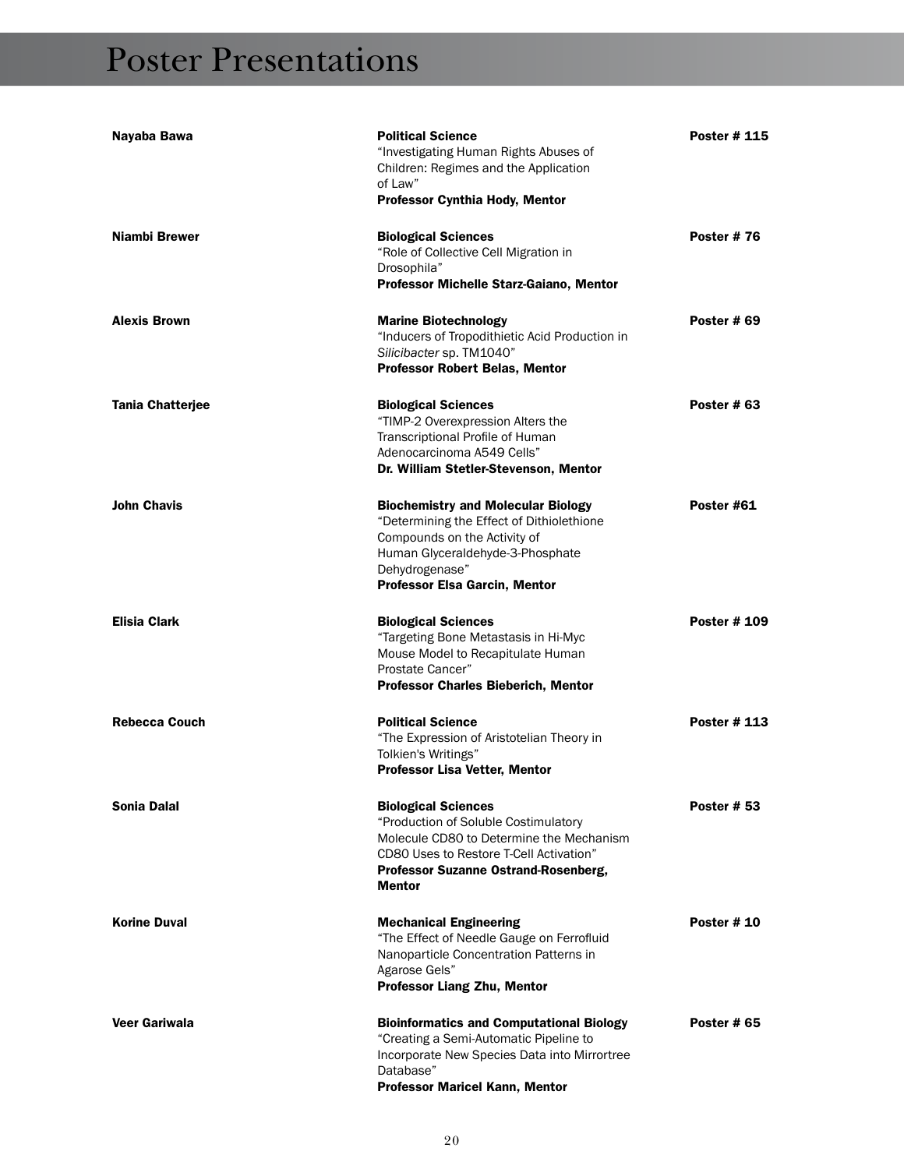| Nayaba Bawa             | <b>Political Science</b><br>"Investigating Human Rights Abuses of<br>Children: Regimes and the Application<br>of Law"<br>Professor Cynthia Hody, Mentor                                                              | <b>Poster #115</b> |
|-------------------------|----------------------------------------------------------------------------------------------------------------------------------------------------------------------------------------------------------------------|--------------------|
| Niambi Brewer           | <b>Biological Sciences</b><br>"Role of Collective Cell Migration in<br>Drosophila"<br>Professor Michelle Starz-Gaiano, Mentor                                                                                        | <b>Poster #76</b>  |
| <b>Alexis Brown</b>     | <b>Marine Biotechnology</b><br>"Inducers of Tropodithietic Acid Production in<br>Silicibacter sp. TM1040"<br><b>Professor Robert Belas, Mentor</b>                                                                   | Poster # 69        |
| <b>Tania Chatterjee</b> | <b>Biological Sciences</b><br>"TIMP-2 Overexpression Alters the<br><b>Transcriptional Profile of Human</b><br>Adenocarcinoma A549 Cells"<br>Dr. William Stetler-Stevenson, Mentor                                    | Poster # 63        |
| <b>John Chavis</b>      | <b>Biochemistry and Molecular Biology</b><br>"Determining the Effect of Dithiolethione<br>Compounds on the Activity of<br>Human Glyceraldehyde-3-Phosphate<br>Dehydrogenase"<br><b>Professor Elsa Garcin, Mentor</b> | Poster #61         |
| <b>Elisia Clark</b>     | <b>Biological Sciences</b><br>"Targeting Bone Metastasis in Hi-Myc<br>Mouse Model to Recapitulate Human<br>Prostate Cancer"<br><b>Professor Charles Bieberich, Mentor</b>                                            | Poster # 109       |
| <b>Rebecca Couch</b>    | <b>Political Science</b><br>"The Expression of Aristotelian Theory in<br>Tolkien's Writings"<br>Professor Lisa Vetter, Mentor                                                                                        | Poster # 113       |
| Sonia Dalal             | <b>Biological Sciences</b><br>"Production of Soluble Costimulatory<br>Molecule CD80 to Determine the Mechanism<br>CD80 Uses to Restore T-Cell Activation"<br>Professor Suzanne Ostrand-Rosenberg,<br><b>Mentor</b>   | <b>Poster # 53</b> |
| <b>Korine Duval</b>     | <b>Mechanical Engineering</b><br>"The Effect of Needle Gauge on Ferrofluid<br>Nanoparticle Concentration Patterns in<br>Agarose Gels"<br><b>Professor Liang Zhu, Mentor</b>                                          | <b>Poster #10</b>  |
| Veer Gariwala           | <b>Bioinformatics and Computational Biology</b><br>"Creating a Semi-Automatic Pipeline to<br>Incorporate New Species Data into Mirrortree<br>Database"<br><b>Professor Maricel Kann, Mentor</b>                      | <b>Poster #65</b>  |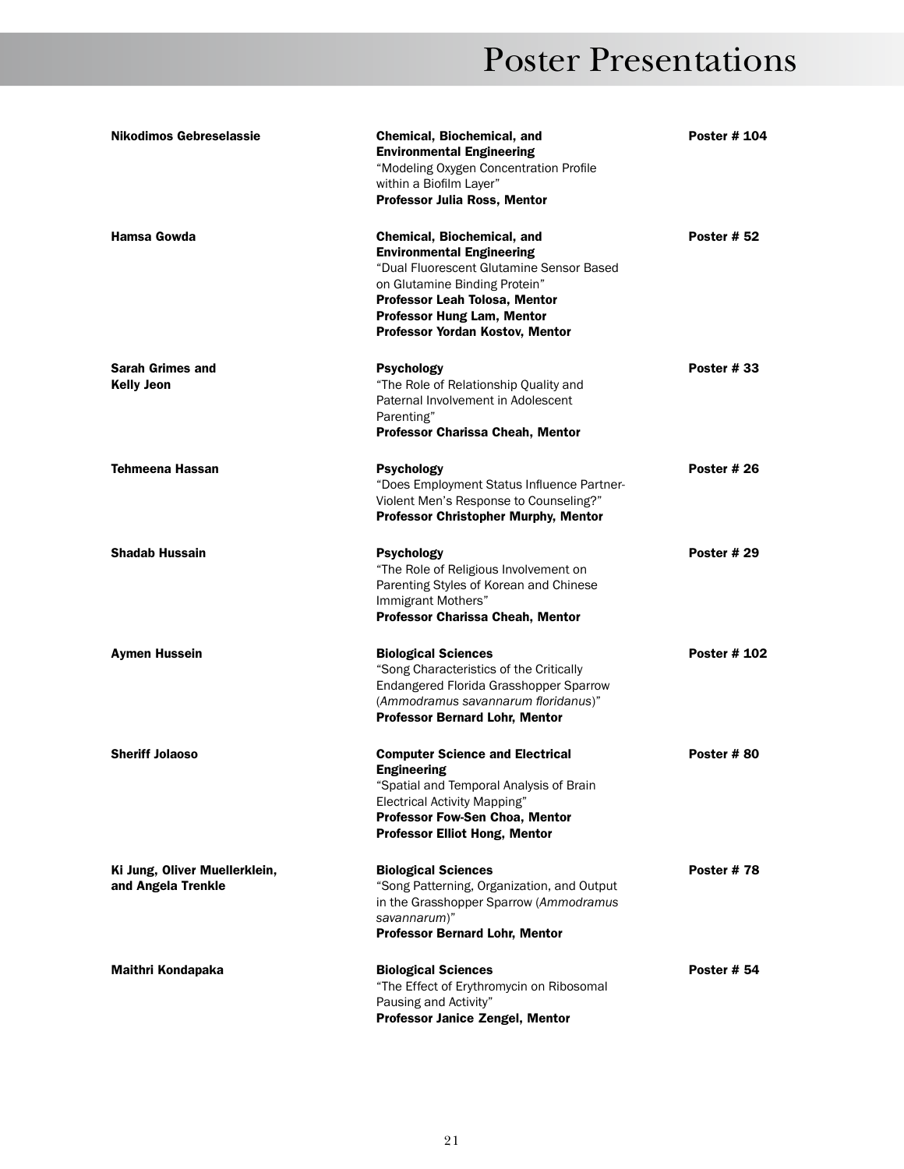| <b>Nikodimos Gebreselassie</b>                      | <b>Chemical, Biochemical, and</b><br><b>Environmental Engineering</b><br>"Modeling Oxygen Concentration Profile<br>within a Biofilm Layer"<br><b>Professor Julia Ross, Mentor</b>                                                                    | <b>Poster # 104</b> |
|-----------------------------------------------------|------------------------------------------------------------------------------------------------------------------------------------------------------------------------------------------------------------------------------------------------------|---------------------|
| Hamsa Gowda                                         | Chemical, Biochemical, and<br><b>Environmental Engineering</b><br>"Dual Fluorescent Glutamine Sensor Based<br>on Glutamine Binding Protein"<br>Professor Leah Tolosa, Mentor<br><b>Professor Hung Lam, Mentor</b><br>Professor Yordan Kostov, Mentor | <b>Poster # 52</b>  |
| <b>Sarah Grimes and</b><br><b>Kelly Jeon</b>        | Psychology<br>"The Role of Relationship Quality and<br>Paternal Involvement in Adolescent<br>Parenting"<br>Professor Charissa Cheah, Mentor                                                                                                          | <b>Poster #33</b>   |
| <b>Tehmeena Hassan</b>                              | Psychology<br>"Does Employment Status Influence Partner-<br>Violent Men's Response to Counseling?"<br><b>Professor Christopher Murphy, Mentor</b>                                                                                                    | <b>Poster # 26</b>  |
| <b>Shadab Hussain</b>                               | <b>Psychology</b><br>"The Role of Religious Involvement on<br>Parenting Styles of Korean and Chinese<br>Immigrant Mothers"<br>Professor Charissa Cheah, Mentor                                                                                       | <b>Poster # 29</b>  |
| <b>Aymen Hussein</b>                                | <b>Biological Sciences</b><br>"Song Characteristics of the Critically<br>Endangered Florida Grasshopper Sparrow<br>(Ammodramus savannarum floridanus)"<br><b>Professor Bernard Lohr, Mentor</b>                                                      | <b>Poster # 102</b> |
| <b>Sheriff Jolaoso</b>                              | <b>Computer Science and Electrical</b><br><b>Engineering</b><br>"Spatial and Temporal Analysis of Brain<br><b>Electrical Activity Mapping"</b><br><b>Professor Fow-Sen Choa, Mentor</b><br><b>Professor Elliot Hong, Mentor</b>                      | Poster #80          |
| Ki Jung, Oliver Muellerklein,<br>and Angela Trenkle | <b>Biological Sciences</b><br>"Song Patterning, Organization, and Output<br>in the Grasshopper Sparrow (Ammodramus<br>savannarum)"<br><b>Professor Bernard Lohr, Mentor</b>                                                                          | Poster #78          |
| Maithri Kondapaka                                   | <b>Biological Sciences</b><br>"The Effect of Erythromycin on Ribosomal<br>Pausing and Activity"<br>Professor Janice Zengel, Mentor                                                                                                                   | <b>Poster # 54</b>  |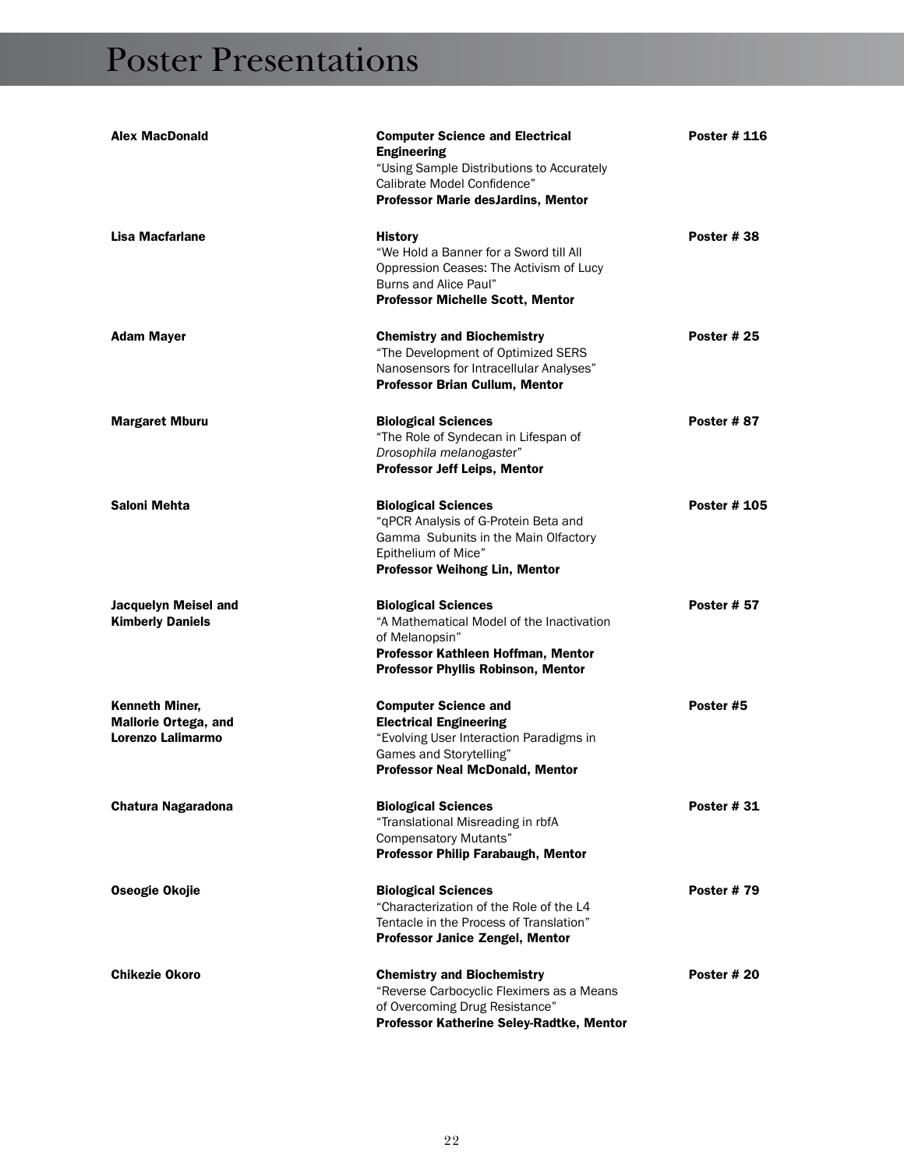| <b>Alex MacDonald</b>                                              | <b>Computer Science and Electrical</b><br><b>Engineering</b><br>"Using Sample Distributions to Accurately<br>Calibrate Model Confidence"<br><b>Professor Marie desJardins, Mentor</b> | <b>Poster # 116</b> |
|--------------------------------------------------------------------|---------------------------------------------------------------------------------------------------------------------------------------------------------------------------------------|---------------------|
| Lisa Macfarlane                                                    | <b>History</b><br>"We Hold a Banner for a Sword till All<br>Oppression Ceases: The Activism of Lucy<br>Burns and Alice Paul"<br><b>Professor Michelle Scott, Mentor</b>               | Poster #38          |
| <b>Adam Mayer</b>                                                  | <b>Chemistry and Biochemistry</b><br>"The Development of Optimized SERS<br>Nanosensors for Intracellular Analyses"<br><b>Professor Brian Cullum, Mentor</b>                           | <b>Poster # 25</b>  |
| <b>Margaret Mburu</b>                                              | <b>Biological Sciences</b><br>"The Role of Syndecan in Lifespan of<br>Drosophila melanogaster"<br>Professor Jeff Leips, Mentor                                                        | Poster #87          |
| Saloni Mehta                                                       | <b>Biological Sciences</b><br>"gPCR Analysis of G-Protein Beta and<br>Gamma Subunits in the Main Olfactory<br>Epithelium of Mice"<br><b>Professor Weihong Lin, Mentor</b>             | <b>Poster # 105</b> |
| Jacquelyn Meisel and<br><b>Kimberly Daniels</b>                    | <b>Biological Sciences</b><br>"A Mathematical Model of the Inactivation<br>of Melanopsin"<br>Professor Kathleen Hoffman, Mentor<br><b>Professor Phyllis Robinson, Mentor</b>          | <b>Poster # 57</b>  |
| Kenneth Miner,<br><b>Mallorie Ortega, and</b><br>Lorenzo Lalimarmo | <b>Computer Science and</b><br><b>Electrical Engineering</b><br>"Evolving User Interaction Paradigms in<br>Games and Storytelling"<br><b>Professor Neal McDonald, Mentor</b>          | Poster #5           |
| Chatura Nagaradona                                                 | <b>Biological Sciences</b><br>"Translational Misreading in rbfA<br><b>Compensatory Mutants"</b><br><b>Professor Philip Farabaugh, Mentor</b>                                          | <b>Poster #31</b>   |
| Oseogie Okojie                                                     | <b>Biological Sciences</b><br>"Characterization of the Role of the L4<br>Tentacle in the Process of Translation"<br><b>Professor Janice Zengel, Mentor</b>                            | <b>Poster #79</b>   |
| <b>Chikezie Okoro</b>                                              | <b>Chemistry and Biochemistry</b><br>"Reverse Carbocyclic Fleximers as a Means<br>of Overcoming Drug Resistance"<br>Professor Katherine Seley-Radtke, Mentor                          | Poster # 20         |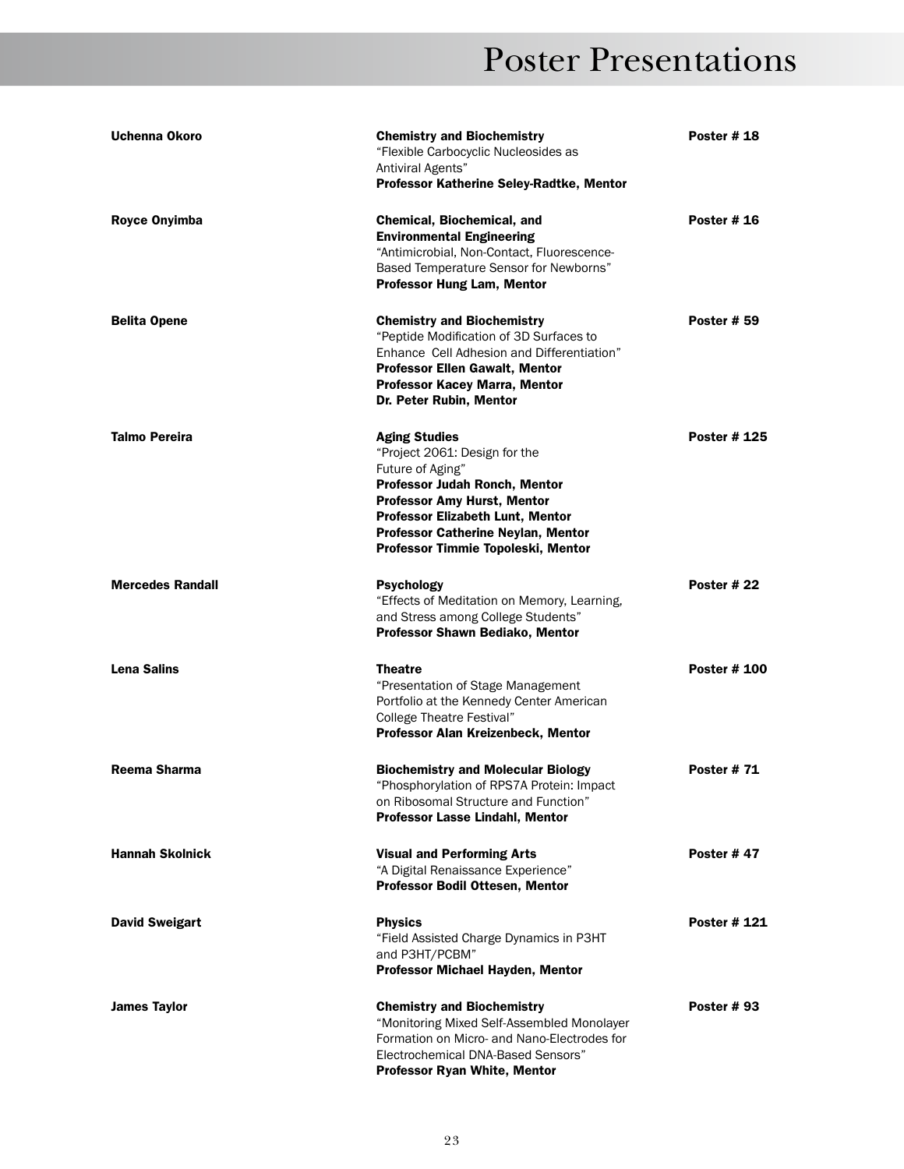| Uchenna Okoro           | <b>Chemistry and Biochemistry</b><br>"Flexible Carbocyclic Nucleosides as<br>Antiviral Agents"<br>Professor Katherine Seley-Radtke, Mentor                                                                                                                                     | <b>Poster #18</b>   |
|-------------------------|--------------------------------------------------------------------------------------------------------------------------------------------------------------------------------------------------------------------------------------------------------------------------------|---------------------|
| <b>Royce Onyimba</b>    | Chemical, Biochemical, and<br><b>Environmental Engineering</b><br>"Antimicrobial, Non-Contact, Fluorescence-<br>Based Temperature Sensor for Newborns"<br><b>Professor Hung Lam, Mentor</b>                                                                                    | Poster #16          |
| <b>Belita Opene</b>     | <b>Chemistry and Biochemistry</b><br>"Peptide Modification of 3D Surfaces to<br>Enhance Cell Adhesion and Differentiation"<br><b>Professor Ellen Gawalt, Mentor</b><br>Professor Kacey Marra, Mentor<br>Dr. Peter Rubin, Mentor                                                | <b>Poster # 59</b>  |
| <b>Talmo Pereira</b>    | <b>Aging Studies</b><br>"Project 2061: Design for the<br>Future of Aging"<br>Professor Judah Ronch, Mentor<br><b>Professor Amy Hurst, Mentor</b><br><b>Professor Elizabeth Lunt, Mentor</b><br><b>Professor Catherine Neylan, Mentor</b><br>Professor Timmie Topoleski, Mentor | <b>Poster # 125</b> |
| <b>Mercedes Randall</b> | <b>Psychology</b><br>"Effects of Meditation on Memory, Learning,<br>and Stress among College Students"<br>Professor Shawn Bediako, Mentor                                                                                                                                      | Poster #22          |
| <b>Lena Salins</b>      | <b>Theatre</b><br>"Presentation of Stage Management<br>Portfolio at the Kennedy Center American<br>College Theatre Festival"<br>Professor Alan Kreizenbeck, Mentor                                                                                                             | <b>Poster # 100</b> |
| Reema Sharma            | <b>Biochemistry and Molecular Biology</b><br>"Phosphorylation of RPS7A Protein: Impact<br>on Ribosomal Structure and Function"<br>Professor Lasse Lindahl, Mentor                                                                                                              | <b>Poster #71</b>   |
| <b>Hannah Skolnick</b>  | <b>Visual and Performing Arts</b><br>"A Digital Renaissance Experience"<br>Professor Bodil Ottesen, Mentor                                                                                                                                                                     | Poster #47          |
| <b>David Sweigart</b>   | <b>Physics</b><br>"Field Assisted Charge Dynamics in P3HT<br>and P3HT/PCBM"<br>Professor Michael Hayden, Mentor                                                                                                                                                                | Poster # 121        |
| <b>James Taylor</b>     | <b>Chemistry and Biochemistry</b><br>"Monitoring Mixed Self-Assembled Monolayer<br>Formation on Micro- and Nano-Electrodes for<br>Electrochemical DNA-Based Sensors"<br><b>Professor Ryan White, Mentor</b>                                                                    | <b>Poster #93</b>   |